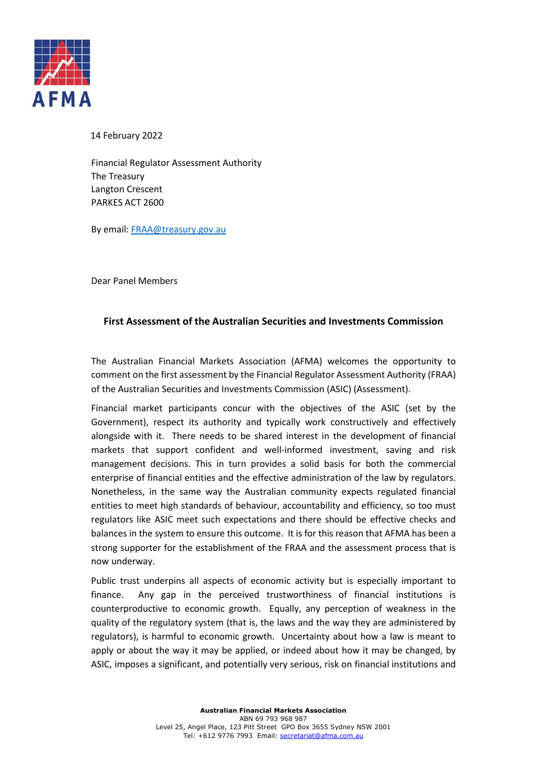

14 February 2022

Financial Regulator Assessment Authority The Treasury Langton Crescent PARKES ACT 2600

By email[: FRAA@treasury.gov.au](mailto:FRAA@treasury.gov.au)

Dear Panel Members

## **First Assessment of the Australian Securities and Investments Commission**

The Australian Financial Markets Association (AFMA) welcomes the opportunity to comment on the first assessment by the Financial Regulator Assessment Authority (FRAA) of the Australian Securities and Investments Commission (ASIC) (Assessment).

Financial market participants concur with the objectives of the ASIC (set by the Government), respect its authority and typically work constructively and effectively alongside with it. There needs to be shared interest in the development of financial markets that support confident and well-informed investment, saving and risk management decisions. This in turn provides a solid basis for both the commercial enterprise of financial entities and the effective administration of the law by regulators. Nonetheless, in the same way the Australian community expects regulated financial entities to meet high standards of behaviour, accountability and efficiency, so too must regulators like ASIC meet such expectations and there should be effective checks and balances in the system to ensure this outcome. It is for this reason that AFMA has been a strong supporter for the establishment of the FRAA and the assessment process that is now underway.

Public trust underpins all aspects of economic activity but is especially important to finance. Any gap in the perceived trustworthiness of financial institutions is counterproductive to economic growth. Equally, any perception of weakness in the quality of the regulatory system (that is, the laws and the way they are administered by regulators), is harmful to economic growth. Uncertainty about how a law is meant to apply or about the way it may be applied, or indeed about how it may be changed, by ASIC, imposes a significant, and potentially very serious, risk on financial institutions and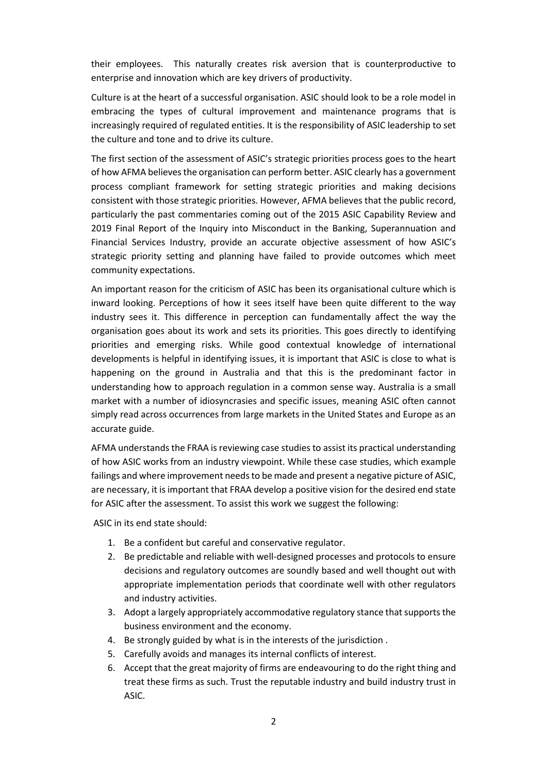their employees. This naturally creates risk aversion that is counterproductive to enterprise and innovation which are key drivers of productivity.

Culture is at the heart of a successful organisation. ASIC should look to be a role model in embracing the types of cultural improvement and maintenance programs that is increasingly required of regulated entities. It is the responsibility of ASIC leadership to set the culture and tone and to drive its culture.

The first section of the assessment of ASIC's strategic priorities process goes to the heart of how AFMA believes the organisation can perform better. ASIC clearly has a government process compliant framework for setting strategic priorities and making decisions consistent with those strategic priorities. However, AFMA believes that the public record, particularly the past commentaries coming out of the 2015 ASIC Capability Review and 2019 Final Report of the Inquiry into Misconduct in the Banking, Superannuation and Financial Services Industry, provide an accurate objective assessment of how ASIC's strategic priority setting and planning have failed to provide outcomes which meet community expectations.

An important reason for the criticism of ASIC has been its organisational culture which is inward looking. Perceptions of how it sees itself have been quite different to the way industry sees it. This difference in perception can fundamentally affect the way the organisation goes about its work and sets its priorities. This goes directly to identifying priorities and emerging risks. While good contextual knowledge of international developments is helpful in identifying issues, it is important that ASIC is close to what is happening on the ground in Australia and that this is the predominant factor in understanding how to approach regulation in a common sense way. Australia is a small market with a number of idiosyncrasies and specific issues, meaning ASIC often cannot simply read across occurrences from large markets in the United States and Europe as an accurate guide.

AFMA understands the FRAA is reviewing case studies to assist its practical understanding of how ASIC works from an industry viewpoint. While these case studies, which example failings and where improvement needs to be made and present a negative picture of ASIC, are necessary, it is important that FRAA develop a positive vision for the desired end state for ASIC after the assessment. To assist this work we suggest the following:

ASIC in its end state should:

- 1. Be a confident but careful and conservative regulator.
- 2. Be predictable and reliable with well-designed processes and protocols to ensure decisions and regulatory outcomes are soundly based and well thought out with appropriate implementation periods that coordinate well with other regulators and industry activities.
- 3. Adopt a largely appropriately accommodative regulatory stance that supportsthe business environment and the economy.
- 4. Be strongly guided by what is in the interests of the jurisdiction .
- 5. Carefully avoids and manages its internal conflicts of interest.
- 6. Accept that the great majority of firms are endeavouring to do the right thing and treat these firms as such. Trust the reputable industry and build industry trust in ASIC.